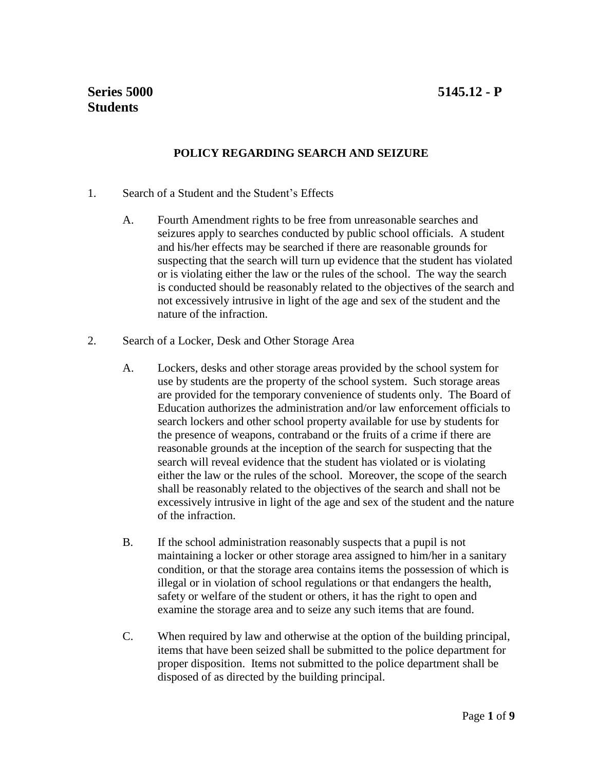# **POLICY REGARDING SEARCH AND SEIZURE**

- 1. Search of a Student and the Student's Effects
	- A. Fourth Amendment rights to be free from unreasonable searches and seizures apply to searches conducted by public school officials. A student and his/her effects may be searched if there are reasonable grounds for suspecting that the search will turn up evidence that the student has violated or is violating either the law or the rules of the school. The way the search is conducted should be reasonably related to the objectives of the search and not excessively intrusive in light of the age and sex of the student and the nature of the infraction.
- 2. Search of a Locker, Desk and Other Storage Area
	- A. Lockers, desks and other storage areas provided by the school system for use by students are the property of the school system. Such storage areas are provided for the temporary convenience of students only. The Board of Education authorizes the administration and/or law enforcement officials to search lockers and other school property available for use by students for the presence of weapons, contraband or the fruits of a crime if there are reasonable grounds at the inception of the search for suspecting that the search will reveal evidence that the student has violated or is violating either the law or the rules of the school. Moreover, the scope of the search shall be reasonably related to the objectives of the search and shall not be excessively intrusive in light of the age and sex of the student and the nature of the infraction.
	- B. If the school administration reasonably suspects that a pupil is not maintaining a locker or other storage area assigned to him/her in a sanitary condition, or that the storage area contains items the possession of which is illegal or in violation of school regulations or that endangers the health, safety or welfare of the student or others, it has the right to open and examine the storage area and to seize any such items that are found.
	- C. When required by law and otherwise at the option of the building principal, items that have been seized shall be submitted to the police department for proper disposition. Items not submitted to the police department shall be disposed of as directed by the building principal.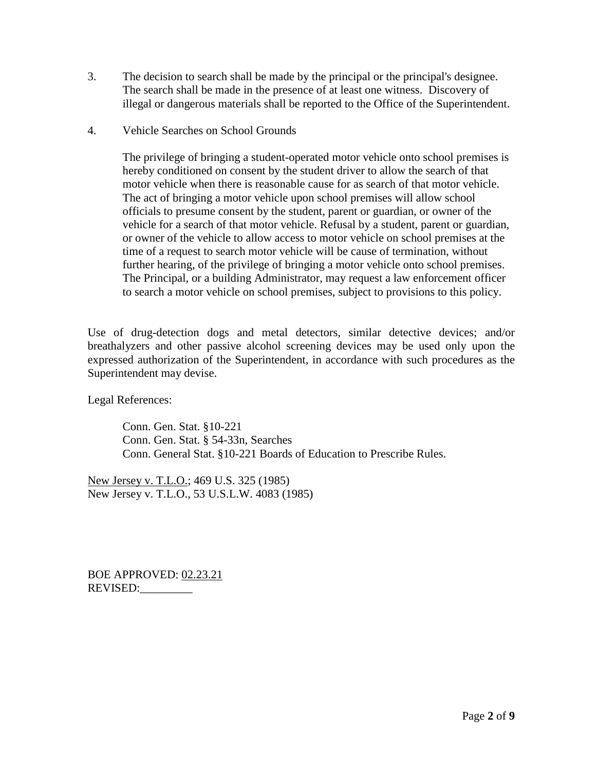- 3. The decision to search shall be made by the principal or the principal's designee. The search shall be made in the presence of at least one witness. Discovery of illegal or dangerous materials shall be reported to the Office of the Superintendent.
- 4. Vehicle Searches on School Grounds

The privilege of bringing a student-operated motor vehicle onto school premises is hereby conditioned on consent by the student driver to allow the search of that motor vehicle when there is reasonable cause for as search of that motor vehicle. The act of bringing a motor vehicle upon school premises will allow school officials to presume consent by the student, parent or guardian, or owner of the vehicle for a search of that motor vehicle. Refusal by a student, parent or guardian, or owner of the vehicle to allow access to motor vehicle on school premises at the time of a request to search motor vehicle will be cause of termination, without further hearing, of the privilege of bringing a motor vehicle onto school premises. The Principal, or a building Administrator, may request a law enforcement officer to search a motor vehicle on school premises, subject to provisions to this policy.

Use of drug-detection dogs and metal detectors, similar detective devices; and/or breathalyzers and other passive alcohol screening devices may be used only upon the expressed authorization of the Superintendent, in accordance with such procedures as the Superintendent may devise.

Legal References:

Conn. Gen. Stat. §10-221 Conn. Gen. Stat. § 54-33n, Searches Conn. General Stat. §10-221 Boards of Education to Prescribe Rules.

New Jersey v. T.L.O.; 469 U.S. 325 (1985) New Jersey v. T.L.O., 53 U.S.L.W. 4083 (1985)

BOE APPROVED: 02.23.21 REVISED: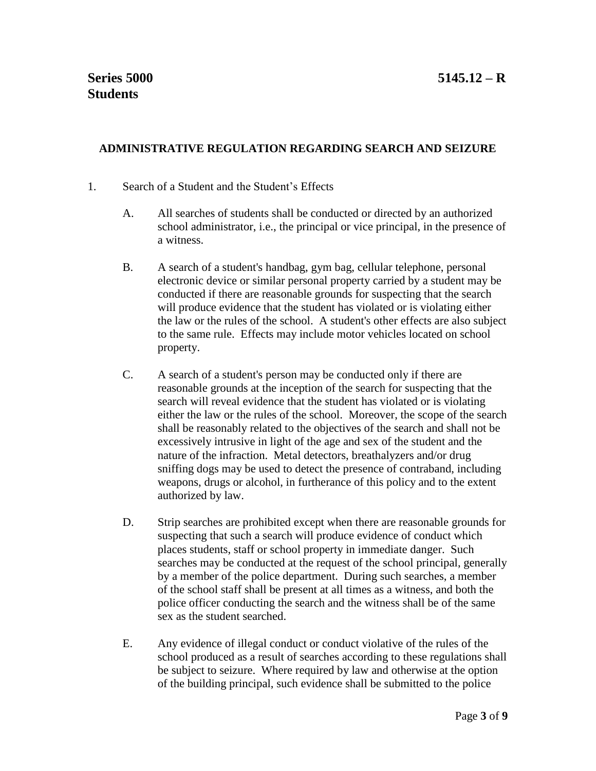## **ADMINISTRATIVE REGULATION REGARDING SEARCH AND SEIZURE**

### 1. Search of a Student and the Student's Effects

- A. All searches of students shall be conducted or directed by an authorized school administrator, i.e., the principal or vice principal, in the presence of a witness.
- B. A search of a student's handbag, gym bag, cellular telephone, personal electronic device or similar personal property carried by a student may be conducted if there are reasonable grounds for suspecting that the search will produce evidence that the student has violated or is violating either the law or the rules of the school. A student's other effects are also subject to the same rule. Effects may include motor vehicles located on school property.
- C. A search of a student's person may be conducted only if there are reasonable grounds at the inception of the search for suspecting that the search will reveal evidence that the student has violated or is violating either the law or the rules of the school. Moreover, the scope of the search shall be reasonably related to the objectives of the search and shall not be excessively intrusive in light of the age and sex of the student and the nature of the infraction. Metal detectors, breathalyzers and/or drug sniffing dogs may be used to detect the presence of contraband, including weapons, drugs or alcohol, in furtherance of this policy and to the extent authorized by law.
- D. Strip searches are prohibited except when there are reasonable grounds for suspecting that such a search will produce evidence of conduct which places students, staff or school property in immediate danger. Such searches may be conducted at the request of the school principal, generally by a member of the police department. During such searches, a member of the school staff shall be present at all times as a witness, and both the police officer conducting the search and the witness shall be of the same sex as the student searched.
- E. Any evidence of illegal conduct or conduct violative of the rules of the school produced as a result of searches according to these regulations shall be subject to seizure. Where required by law and otherwise at the option of the building principal, such evidence shall be submitted to the police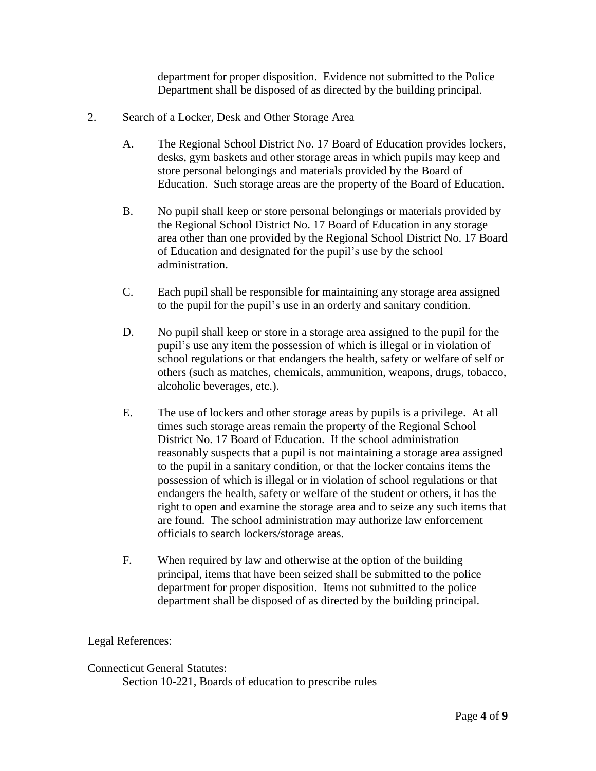department for proper disposition. Evidence not submitted to the Police Department shall be disposed of as directed by the building principal.

- 2. Search of a Locker, Desk and Other Storage Area
	- A. The Regional School District No. 17 Board of Education provides lockers, desks, gym baskets and other storage areas in which pupils may keep and store personal belongings and materials provided by the Board of Education. Such storage areas are the property of the Board of Education.
	- B. No pupil shall keep or store personal belongings or materials provided by the Regional School District No. 17 Board of Education in any storage area other than one provided by the Regional School District No. 17 Board of Education and designated for the pupil's use by the school administration.
	- C. Each pupil shall be responsible for maintaining any storage area assigned to the pupil for the pupil's use in an orderly and sanitary condition.
	- D. No pupil shall keep or store in a storage area assigned to the pupil for the pupil's use any item the possession of which is illegal or in violation of school regulations or that endangers the health, safety or welfare of self or others (such as matches, chemicals, ammunition, weapons, drugs, tobacco, alcoholic beverages, etc.).
	- E. The use of lockers and other storage areas by pupils is a privilege. At all times such storage areas remain the property of the Regional School District No. 17 Board of Education. If the school administration reasonably suspects that a pupil is not maintaining a storage area assigned to the pupil in a sanitary condition, or that the locker contains items the possession of which is illegal or in violation of school regulations or that endangers the health, safety or welfare of the student or others, it has the right to open and examine the storage area and to seize any such items that are found. The school administration may authorize law enforcement officials to search lockers/storage areas.
	- F. When required by law and otherwise at the option of the building principal, items that have been seized shall be submitted to the police department for proper disposition. Items not submitted to the police department shall be disposed of as directed by the building principal.

#### Legal References:

#### Connecticut General Statutes:

Section 10-221, Boards of education to prescribe rules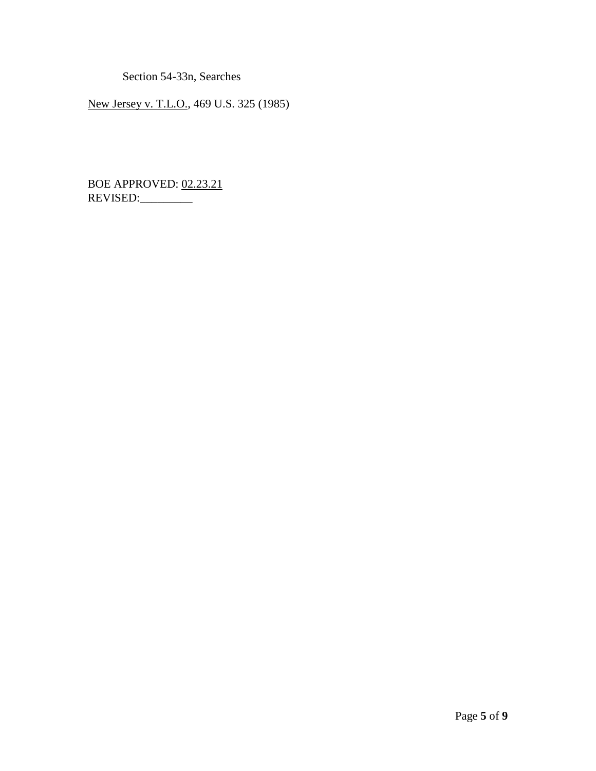Section 54-33n, Searches

New Jersey v. T.L.O., 469 U.S. 325 (1985)

BOE APPROVED: 02.23.21 REVISED: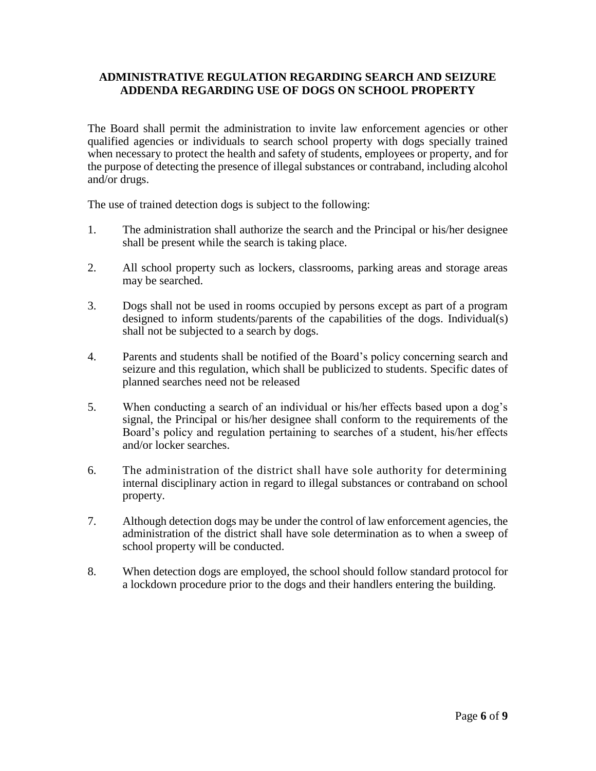### **ADMINISTRATIVE REGULATION REGARDING SEARCH AND SEIZURE ADDENDA REGARDING USE OF DOGS ON SCHOOL PROPERTY**

The Board shall permit the administration to invite law enforcement agencies or other qualified agencies or individuals to search school property with dogs specially trained when necessary to protect the health and safety of students, employees or property, and for the purpose of detecting the presence of illegal substances or contraband, including alcohol and/or drugs.

The use of trained detection dogs is subject to the following:

- 1. The administration shall authorize the search and the Principal or his/her designee shall be present while the search is taking place.
- 2. All school property such as lockers, classrooms, parking areas and storage areas may be searched.
- 3. Dogs shall not be used in rooms occupied by persons except as part of a program designed to inform students/parents of the capabilities of the dogs. Individual(s) shall not be subjected to a search by dogs.
- 4. Parents and students shall be notified of the Board's policy concerning search and seizure and this regulation, which shall be publicized to students. Specific dates of planned searches need not be released
- 5. When conducting a search of an individual or his/her effects based upon a dog's signal, the Principal or his/her designee shall conform to the requirements of the Board's policy and regulation pertaining to searches of a student, his/her effects and/or locker searches.
- 6. The administration of the district shall have sole authority for determining internal disciplinary action in regard to illegal substances or contraband on school property.
- 7. Although detection dogs may be under the control of law enforcement agencies, the administration of the district shall have sole determination as to when a sweep of school property will be conducted.
- 8. When detection dogs are employed, the school should follow standard protocol for a lockdown procedure prior to the dogs and their handlers entering the building.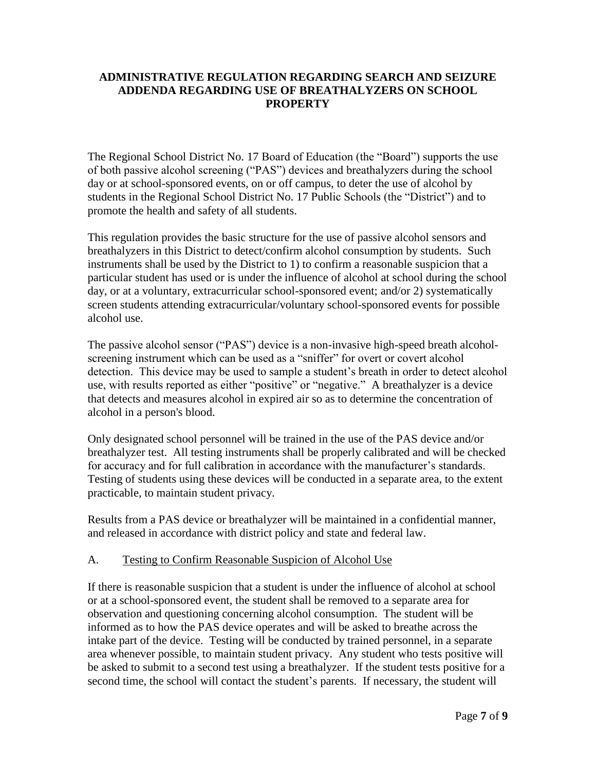### **ADMINISTRATIVE REGULATION REGARDING SEARCH AND SEIZURE ADDENDA REGARDING USE OF BREATHALYZERS ON SCHOOL PROPERTY**

The Regional School District No. 17 Board of Education (the "Board") supports the use of both passive alcohol screening ("PAS") devices and breathalyzers during the school day or at school-sponsored events, on or off campus, to deter the use of alcohol by students in the Regional School District No. 17 Public Schools (the "District") and to promote the health and safety of all students.

This regulation provides the basic structure for the use of passive alcohol sensors and breathalyzers in this District to detect/confirm alcohol consumption by students. Such instruments shall be used by the District to 1) to confirm a reasonable suspicion that a particular student has used or is under the influence of alcohol at school during the school day, or at a voluntary, extracurricular school-sponsored event; and/or 2) systematically screen students attending extracurricular/voluntary school-sponsored events for possible alcohol use.

The passive alcohol sensor ("PAS") device is a non-invasive high-speed breath alcoholscreening instrument which can be used as a "sniffer" for overt or covert alcohol detection. This device may be used to sample a student's breath in order to detect alcohol use, with results reported as either "positive" or "negative."A breathalyzer is a device that detects and measures alcohol in expired air so as to determine the concentration of alcohol in a person's blood.

Only designated school personnel will be trained in the use of the PAS device and/or breathalyzer test. All testing instruments shall be properly calibrated and will be checked for accuracy and for full calibration in accordance with the manufacturer's standards. Testing of students using these devices will be conducted in a separate area, to the extent practicable, to maintain student privacy.

Results from a PAS device or breathalyzer will be maintained in a confidential manner, and released in accordance with district policy and state and federal law.

# A. Testing to Confirm Reasonable Suspicion of Alcohol Use

If there is reasonable suspicion that a student is under the influence of alcohol at school or at a school-sponsored event, the student shall be removed to a separate area for observation and questioning concerning alcohol consumption. The student will be informed as to how the PAS device operates and will be asked to breathe across the intake part of the device. Testing will be conducted by trained personnel, in a separate area whenever possible, to maintain student privacy. Any student who tests positive will be asked to submit to a second test using a breathalyzer. If the student tests positive for a second time, the school will contact the student's parents. If necessary, the student will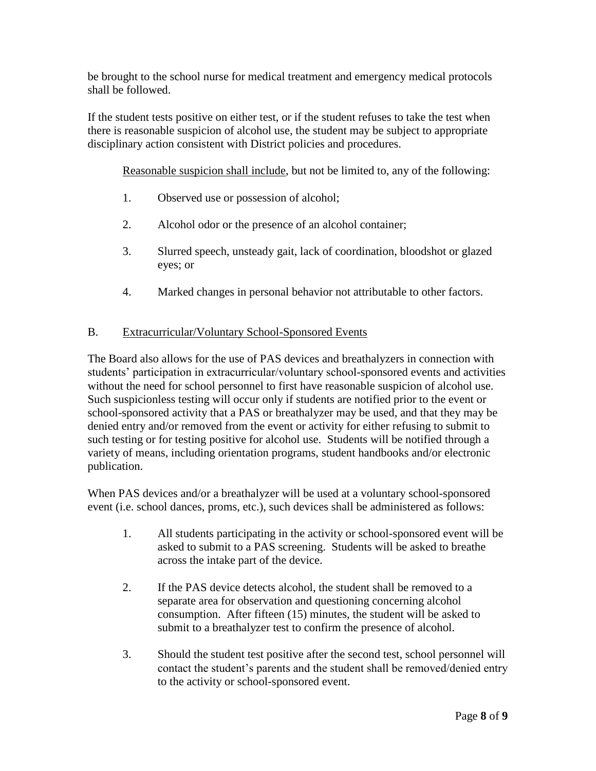be brought to the school nurse for medical treatment and emergency medical protocols shall be followed.

If the student tests positive on either test, or if the student refuses to take the test when there is reasonable suspicion of alcohol use, the student may be subject to appropriate disciplinary action consistent with District policies and procedures.

Reasonable suspicion shall include, but not be limited to, any of the following:

- 1. Observed use or possession of alcohol;
- 2. Alcohol odor or the presence of an alcohol container;
- 3. Slurred speech, unsteady gait, lack of coordination, bloodshot or glazed eyes; or
- 4. Marked changes in personal behavior not attributable to other factors.

## B. Extracurricular/Voluntary School-Sponsored Events

The Board also allows for the use of PAS devices and breathalyzers in connection with students' participation in extracurricular/voluntary school-sponsored events and activities without the need for school personnel to first have reasonable suspicion of alcohol use. Such suspicionless testing will occur only if students are notified prior to the event or school-sponsored activity that a PAS or breathalyzer may be used, and that they may be denied entry and/or removed from the event or activity for either refusing to submit to such testing or for testing positive for alcohol use. Students will be notified through a variety of means, including orientation programs, student handbooks and/or electronic publication.

When PAS devices and/or a breathalyzer will be used at a voluntary school-sponsored event (i.e. school dances, proms, etc.), such devices shall be administered as follows:

- 1. All students participating in the activity or school-sponsored event will be asked to submit to a PAS screening. Students will be asked to breathe across the intake part of the device.
- 2. If the PAS device detects alcohol, the student shall be removed to a separate area for observation and questioning concerning alcohol consumption. After fifteen (15) minutes, the student will be asked to submit to a breathalyzer test to confirm the presence of alcohol.
- 3. Should the student test positive after the second test, school personnel will contact the student's parents and the student shall be removed/denied entry to the activity or school-sponsored event.